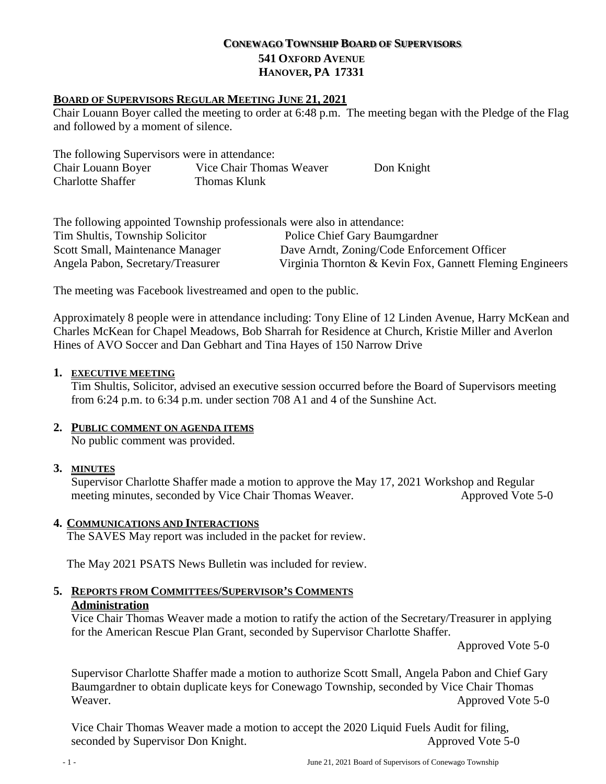# **CONEWAGO TOWNSHIP BOARD OF SUPERVISORS 541 OXFORD AVENUE HANOVER, PA 17331**

#### **BOARD OF SUPERVISORS REGULAR MEETING JUNE 21, 2021**

Chair Louann Boyer called the meeting to order at 6:48 p.m. The meeting began with the Pledge of the Flag and followed by a moment of silence.

| The following Supervisors were in attendance: |                          |            |
|-----------------------------------------------|--------------------------|------------|
| Chair Louann Boyer                            | Vice Chair Thomas Weaver | Don Knight |
| <b>Charlotte Shaffer</b>                      | Thomas Klunk             |            |

| The following appointed Township professionals were also in attendance: |                                                          |
|-------------------------------------------------------------------------|----------------------------------------------------------|
| Tim Shultis, Township Solicitor                                         | Police Chief Gary Baumgardner                            |
| Scott Small, Maintenance Manager                                        | Dave Arndt, Zoning/Code Enforcement Officer              |
| Angela Pabon, Secretary/Treasurer                                       | Virginia Thornton & Kevin Fox, Gannett Fleming Engineers |

The meeting was Facebook livestreamed and open to the public.

Approximately 8 people were in attendance including: Tony Eline of 12 Linden Avenue, Harry McKean and Charles McKean for Chapel Meadows, Bob Sharrah for Residence at Church, Kristie Miller and Averlon Hines of AVO Soccer and Dan Gebhart and Tina Hayes of 150 Narrow Drive

#### **1. EXECUTIVE MEETING**

Tim Shultis, Solicitor, advised an executive session occurred before the Board of Supervisors meeting from 6:24 p.m. to 6:34 p.m. under section 708 A1 and 4 of the Sunshine Act.

# **2. PUBLIC COMMENT ON AGENDA ITEMS**

No public comment was provided.

# **3. MINUTES**

Supervisor Charlotte Shaffer made a motion to approve the May 17, 2021 Workshop and Regular meeting minutes, seconded by Vice Chair Thomas Weaver. Approved Vote 5-0

#### **4. COMMUNICATIONS AND INTERACTIONS**

The SAVES May report was included in the packet for review.

The May 2021 PSATS News Bulletin was included for review.

**5. REPORTS FROM COMMITTEES/SUPERVISOR'S COMMENTS Administration** 

Vice Chair Thomas Weaver made a motion to ratify the action of the Secretary/Treasurer in applying for the American Rescue Plan Grant, seconded by Supervisor Charlotte Shaffer.

Approved Vote 5-0

Supervisor Charlotte Shaffer made a motion to authorize Scott Small, Angela Pabon and Chief Gary Baumgardner to obtain duplicate keys for Conewago Township, seconded by Vice Chair Thomas Weaver. Approved Vote 5-0

Vice Chair Thomas Weaver made a motion to accept the 2020 Liquid Fuels Audit for filing, seconded by Supervisor Don Knight. Approved Vote 5-0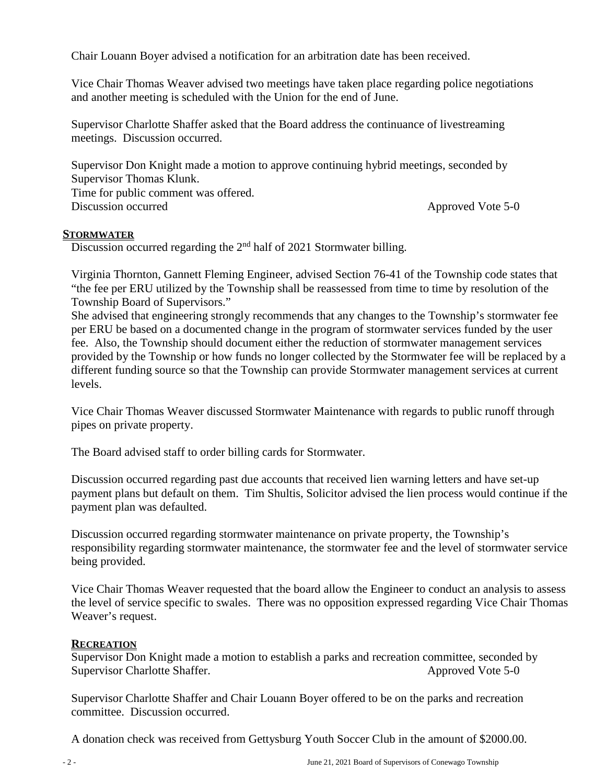Chair Louann Boyer advised a notification for an arbitration date has been received.

Vice Chair Thomas Weaver advised two meetings have taken place regarding police negotiations and another meeting is scheduled with the Union for the end of June.

Supervisor Charlotte Shaffer asked that the Board address the continuance of livestreaming meetings. Discussion occurred.

Supervisor Don Knight made a motion to approve continuing hybrid meetings, seconded by Supervisor Thomas Klunk.

Time for public comment was offered. Discussion occurred Approved Vote 5-0

#### **STORMWATER**

Discussion occurred regarding the 2<sup>nd</sup> half of 2021 Stormwater billing.

Virginia Thornton, Gannett Fleming Engineer, advised Section 76-41 of the Township code states that "the fee per ERU utilized by the Township shall be reassessed from time to time by resolution of the Township Board of Supervisors."

She advised that engineering strongly recommends that any changes to the Township's stormwater fee per ERU be based on a documented change in the program of stormwater services funded by the user fee. Also, the Township should document either the reduction of stormwater management services provided by the Township or how funds no longer collected by the Stormwater fee will be replaced by a different funding source so that the Township can provide Stormwater management services at current levels.

Vice Chair Thomas Weaver discussed Stormwater Maintenance with regards to public runoff through pipes on private property.

The Board advised staff to order billing cards for Stormwater.

Discussion occurred regarding past due accounts that received lien warning letters and have set-up payment plans but default on them. Tim Shultis, Solicitor advised the lien process would continue if the payment plan was defaulted.

Discussion occurred regarding stormwater maintenance on private property, the Township's responsibility regarding stormwater maintenance, the stormwater fee and the level of stormwater service being provided.

Vice Chair Thomas Weaver requested that the board allow the Engineer to conduct an analysis to assess the level of service specific to swales. There was no opposition expressed regarding Vice Chair Thomas Weaver's request.

# **RECREATION**

Supervisor Don Knight made a motion to establish a parks and recreation committee, seconded by Supervisor Charlotte Shaffer. Approved Vote 5-0

Supervisor Charlotte Shaffer and Chair Louann Boyer offered to be on the parks and recreation committee. Discussion occurred.

A donation check was received from Gettysburg Youth Soccer Club in the amount of \$2000.00.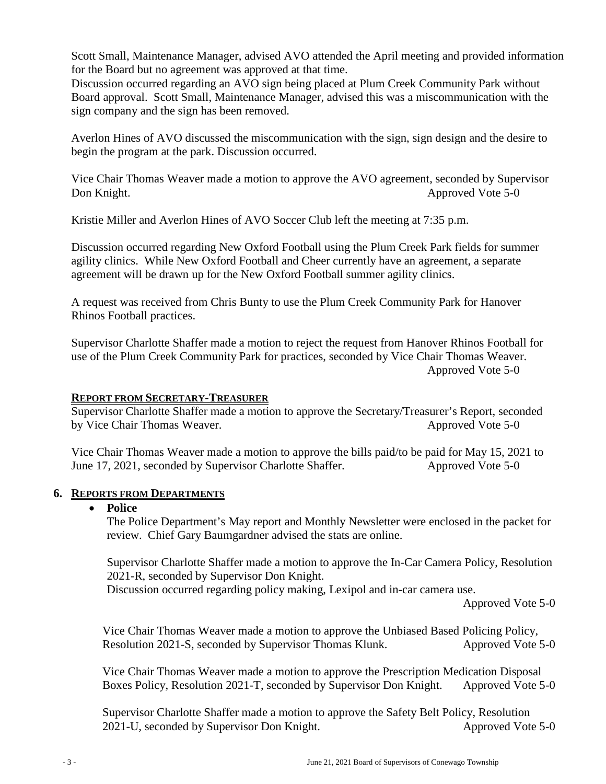Scott Small, Maintenance Manager, advised AVO attended the April meeting and provided information for the Board but no agreement was approved at that time.

Discussion occurred regarding an AVO sign being placed at Plum Creek Community Park without Board approval. Scott Small, Maintenance Manager, advised this was a miscommunication with the sign company and the sign has been removed.

Averlon Hines of AVO discussed the miscommunication with the sign, sign design and the desire to begin the program at the park. Discussion occurred.

Vice Chair Thomas Weaver made a motion to approve the AVO agreement, seconded by Supervisor Don Knight. Approved Vote 5-0

Kristie Miller and Averlon Hines of AVO Soccer Club left the meeting at 7:35 p.m.

Discussion occurred regarding New Oxford Football using the Plum Creek Park fields for summer agility clinics. While New Oxford Football and Cheer currently have an agreement, a separate agreement will be drawn up for the New Oxford Football summer agility clinics.

A request was received from Chris Bunty to use the Plum Creek Community Park for Hanover Rhinos Football practices.

Supervisor Charlotte Shaffer made a motion to reject the request from Hanover Rhinos Football for use of the Plum Creek Community Park for practices, seconded by Vice Chair Thomas Weaver. Approved Vote 5-0

# **REPORT FROM SECRETARY-TREASURER**

Supervisor Charlotte Shaffer made a motion to approve the Secretary/Treasurer's Report, seconded by Vice Chair Thomas Weaver. Approved Vote 5-0

Vice Chair Thomas Weaver made a motion to approve the bills paid/to be paid for May 15, 2021 to June 17, 2021, seconded by Supervisor Charlotte Shaffer. Approved Vote 5-0

# **6. REPORTS FROM DEPARTMENTS**

# • **Police**

The Police Department's May report and Monthly Newsletter were enclosed in the packet for review. Chief Gary Baumgardner advised the stats are online.

Supervisor Charlotte Shaffer made a motion to approve the In-Car Camera Policy, Resolution 2021-R, seconded by Supervisor Don Knight.

Discussion occurred regarding policy making, Lexipol and in-car camera use.

Approved Vote 5-0

Vice Chair Thomas Weaver made a motion to approve the Unbiased Based Policing Policy, Resolution 2021-S, seconded by Supervisor Thomas Klunk. Approved Vote 5-0

Vice Chair Thomas Weaver made a motion to approve the Prescription Medication Disposal Boxes Policy, Resolution 2021-T, seconded by Supervisor Don Knight. Approved Vote 5-0

Supervisor Charlotte Shaffer made a motion to approve the Safety Belt Policy, Resolution 2021-U, seconded by Supervisor Don Knight. Approved Vote 5-0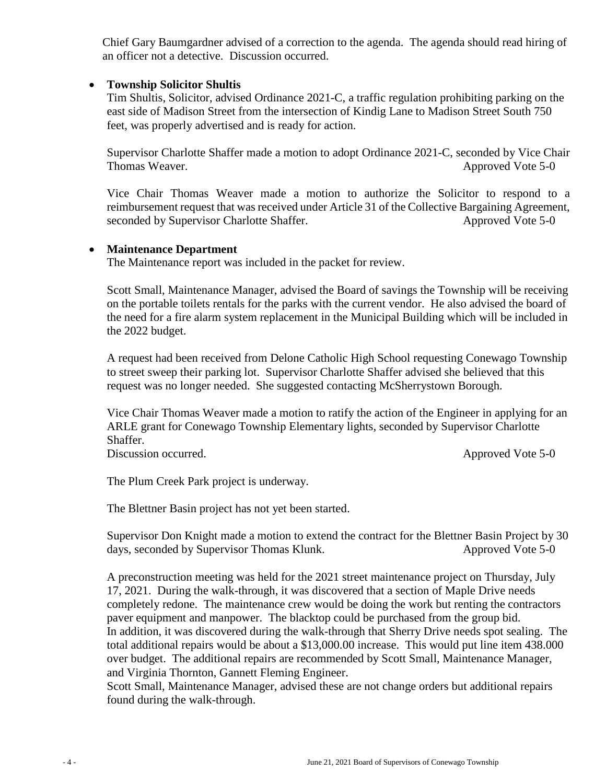Chief Gary Baumgardner advised of a correction to the agenda. The agenda should read hiring of an officer not a detective. Discussion occurred.

# • **Township Solicitor Shultis**

Tim Shultis, Solicitor, advised Ordinance 2021-C, a traffic regulation prohibiting parking on the east side of Madison Street from the intersection of Kindig Lane to Madison Street South 750 feet, was properly advertised and is ready for action.

Supervisor Charlotte Shaffer made a motion to adopt Ordinance 2021-C, seconded by Vice Chair Thomas Weaver. Approved Vote 5-0

Vice Chair Thomas Weaver made a motion to authorize the Solicitor to respond to a reimbursement request that was received under Article 31 of the Collective Bargaining Agreement, seconded by Supervisor Charlotte Shaffer. Approved Vote 5-0

# • **Maintenance Department**

The Maintenance report was included in the packet for review.

Scott Small, Maintenance Manager, advised the Board of savings the Township will be receiving on the portable toilets rentals for the parks with the current vendor. He also advised the board of the need for a fire alarm system replacement in the Municipal Building which will be included in the 2022 budget.

A request had been received from Delone Catholic High School requesting Conewago Township to street sweep their parking lot. Supervisor Charlotte Shaffer advised she believed that this request was no longer needed. She suggested contacting McSherrystown Borough.

Vice Chair Thomas Weaver made a motion to ratify the action of the Engineer in applying for an ARLE grant for Conewago Township Elementary lights, seconded by Supervisor Charlotte Shaffer.

Discussion occurred. Approved Vote 5-0

The Plum Creek Park project is underway.

The Blettner Basin project has not yet been started.

Supervisor Don Knight made a motion to extend the contract for the Blettner Basin Project by 30 days, seconded by Supervisor Thomas Klunk. Approved Vote 5-0

A preconstruction meeting was held for the 2021 street maintenance project on Thursday, July 17, 2021. During the walk-through, it was discovered that a section of Maple Drive needs completely redone. The maintenance crew would be doing the work but renting the contractors paver equipment and manpower. The blacktop could be purchased from the group bid. In addition, it was discovered during the walk-through that Sherry Drive needs spot sealing. The total additional repairs would be about a \$13,000.00 increase. This would put line item 438.000 over budget. The additional repairs are recommended by Scott Small, Maintenance Manager, and Virginia Thornton, Gannett Fleming Engineer.

Scott Small, Maintenance Manager, advised these are not change orders but additional repairs found during the walk-through.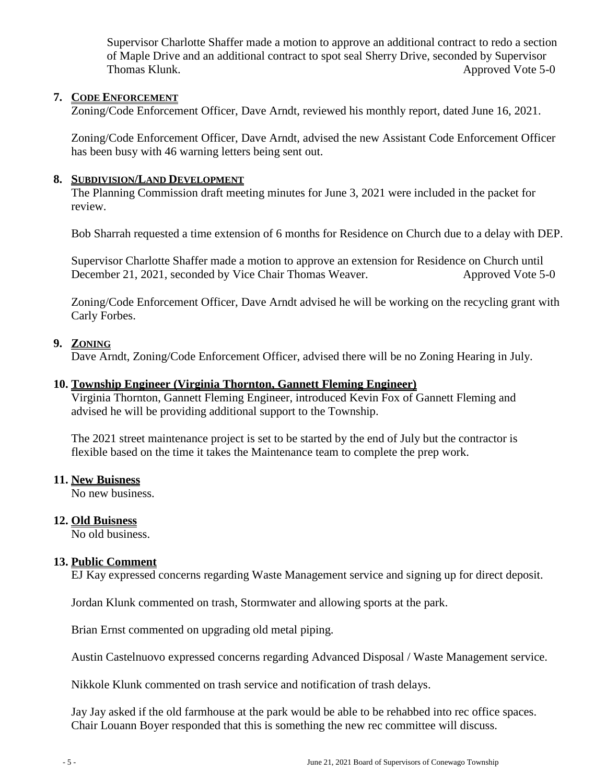Supervisor Charlotte Shaffer made a motion to approve an additional contract to redo a section of Maple Drive and an additional contract to spot seal Sherry Drive, seconded by Supervisor Thomas Klunk. Approved Vote 5-0

# **7. CODE ENFORCEMENT**

Zoning/Code Enforcement Officer, Dave Arndt, reviewed his monthly report, dated June 16, 2021.

Zoning/Code Enforcement Officer, Dave Arndt, advised the new Assistant Code Enforcement Officer has been busy with 46 warning letters being sent out.

# **8. SUBDIVISION/LAND DEVELOPMENT**

The Planning Commission draft meeting minutes for June 3, 2021 were included in the packet for review.

Bob Sharrah requested a time extension of 6 months for Residence on Church due to a delay with DEP.

Supervisor Charlotte Shaffer made a motion to approve an extension for Residence on Church until December 21, 2021, seconded by Vice Chair Thomas Weaver. Approved Vote 5-0

Zoning/Code Enforcement Officer, Dave Arndt advised he will be working on the recycling grant with Carly Forbes.

# **9. ZONING**

Dave Arndt, Zoning/Code Enforcement Officer, advised there will be no Zoning Hearing in July.

# **10. Township Engineer (Virginia Thornton, Gannett Fleming Engineer)**

Virginia Thornton, Gannett Fleming Engineer, introduced Kevin Fox of Gannett Fleming and advised he will be providing additional support to the Township.

The 2021 street maintenance project is set to be started by the end of July but the contractor is flexible based on the time it takes the Maintenance team to complete the prep work.

# **11. New Buisness**

No new business.

# **12. Old Buisness**

No old business.

# **13. Public Comment**

EJ Kay expressed concerns regarding Waste Management service and signing up for direct deposit.

Jordan Klunk commented on trash, Stormwater and allowing sports at the park.

Brian Ernst commented on upgrading old metal piping.

Austin Castelnuovo expressed concerns regarding Advanced Disposal / Waste Management service.

Nikkole Klunk commented on trash service and notification of trash delays.

Jay Jay asked if the old farmhouse at the park would be able to be rehabbed into rec office spaces. Chair Louann Boyer responded that this is something the new rec committee will discuss.